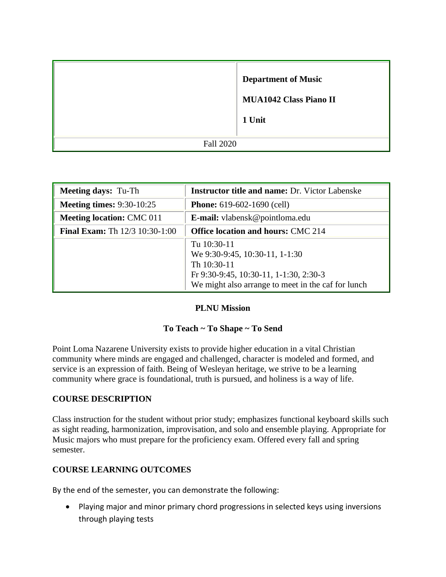|                  | <b>Department of Music</b><br><b>MUA1042 Class Piano II</b><br>1 Unit |  |
|------------------|-----------------------------------------------------------------------|--|
| <b>Fall 2020</b> |                                                                       |  |

| <b>Meeting days: Tu-Th</b>            | <b>Instructor title and name: Dr. Victor Labenske</b>                                                                                                        |
|---------------------------------------|--------------------------------------------------------------------------------------------------------------------------------------------------------------|
| <b>Meeting times: 9:30-10:25</b>      | <b>Phone:</b> $619-602-1690$ (cell)                                                                                                                          |
| <b>Meeting location: CMC 011</b>      | <b>E-mail:</b> vlabensk@pointloma.edu                                                                                                                        |
| <b>Final Exam:</b> Th 12/3 10:30-1:00 | <b>Office location and hours: CMC 214</b>                                                                                                                    |
|                                       | Tu 10:30-11<br>We 9:30-9:45, 10:30-11, 1-1:30<br>Th 10:30-11<br>Fr 9:30-9:45, 10:30-11, 1-1:30, 2:30-3<br>We might also arrange to meet in the caf for lunch |

## **PLNU Mission**

## **To Teach ~ To Shape ~ To Send**

Point Loma Nazarene University exists to provide higher education in a vital Christian community where minds are engaged and challenged, character is modeled and formed, and service is an expression of faith. Being of Wesleyan heritage, we strive to be a learning community where grace is foundational, truth is pursued, and holiness is a way of life.

### **COURSE DESCRIPTION**

Class instruction for the student without prior study; emphasizes functional keyboard skills such as sight reading, harmonization, improvisation, and solo and ensemble playing. Appropriate for Music majors who must prepare for the proficiency exam. Offered every fall and spring semester.

## **COURSE LEARNING OUTCOMES**

By the end of the semester, you can demonstrate the following:

• Playing major and minor primary chord progressions in selected keys using inversions through playing tests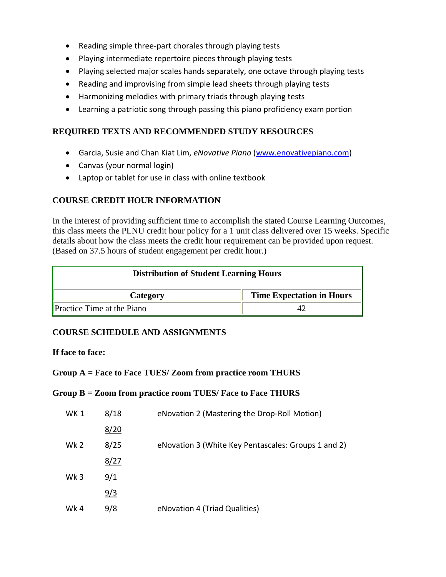- Reading simple three-part chorales through playing tests
- Playing intermediate repertoire pieces through playing tests
- Playing selected major scales hands separately, one octave through playing tests
- Reading and improvising from simple lead sheets through playing tests
- Harmonizing melodies with primary triads through playing tests
- Learning a patriotic song through passing this piano proficiency exam portion

### **REQUIRED TEXTS AND RECOMMENDED STUDY RESOURCES**

- Garcia, Susie and Chan Kiat Lim, *eNovative Piano* [\(www.enovativepiano.com\)](http://www.enovativepiano.com/)
- Canvas (your normal login)
- Laptop or tablet for use in class with online textbook

# **COURSE CREDIT HOUR INFORMATION**

In the interest of providing sufficient time to accomplish the stated Course Learning Outcomes, this class meets the PLNU credit hour policy for a 1 unit class delivered over 15 weeks. Specific details about how the class meets the credit hour requirement can be provided upon request. (Based on 37.5 hours of student engagement per credit hour.)

| <b>Distribution of Student Learning Hours</b> |                                  |  |  |
|-----------------------------------------------|----------------------------------|--|--|
| Category                                      | <b>Time Expectation in Hours</b> |  |  |
| <b>Practice Time at the Piano</b>             |                                  |  |  |

## **COURSE SCHEDULE AND ASSIGNMENTS**

### **If face to face:**

### **Group A = Face to Face TUES/ Zoom from practice room THURS**

### **Group B = Zoom from practice room TUES/ Face to Face THURS**

| WK 1            | 8/18 | eNovation 2 (Mastering the Drop-Roll Motion)        |
|-----------------|------|-----------------------------------------------------|
|                 | 8/20 |                                                     |
| Wk <sub>2</sub> | 8/25 | eNovation 3 (White Key Pentascales: Groups 1 and 2) |
|                 | 8/27 |                                                     |
| Wk <sub>3</sub> | 9/1  |                                                     |
|                 | 9/3  |                                                     |
| Wk4             | 9/8  | eNovation 4 (Triad Qualities)                       |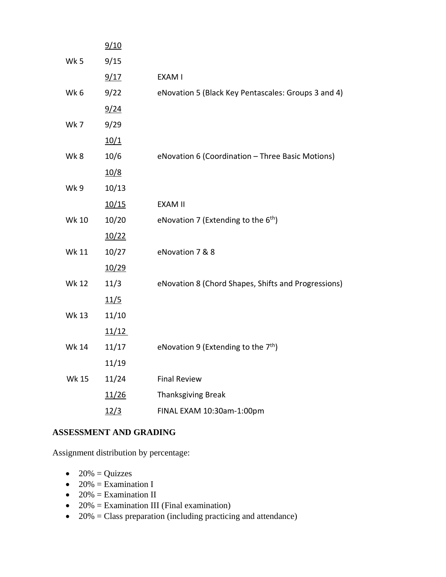|              | 9/10  |                                                     |
|--------------|-------|-----------------------------------------------------|
| Wk 5         | 9/15  |                                                     |
|              | 9/17  | EXAM I                                              |
| Wk 6         | 9/22  | eNovation 5 (Black Key Pentascales: Groups 3 and 4) |
|              | 9/24  |                                                     |
| Wk7          | 9/29  |                                                     |
|              | 10/1  |                                                     |
| Wk8          | 10/6  | eNovation 6 (Coordination - Three Basic Motions)    |
|              | 10/8  |                                                     |
| Wk9          | 10/13 |                                                     |
|              | 10/15 | <b>EXAM II</b>                                      |
| <b>Wk 10</b> | 10/20 | eNovation 7 (Extending to the $6th$ )               |
|              | 10/22 |                                                     |
| Wk 11        | 10/27 | eNovation 7 & 8                                     |
|              | 10/29 |                                                     |
| <b>Wk 12</b> | 11/3  | eNovation 8 (Chord Shapes, Shifts and Progressions) |
|              | 11/5  |                                                     |
| <b>Wk 13</b> | 11/10 |                                                     |
|              | 11/12 |                                                     |
| <b>Wk 14</b> | 11/17 | eNovation 9 (Extending to the 7 <sup>th</sup> )     |
|              | 11/19 |                                                     |
| <b>Wk 15</b> | 11/24 | <b>Final Review</b>                                 |
|              | 11/26 | <b>Thanksgiving Break</b>                           |
|              | 12/3  | FINAL EXAM 10:30am-1:00pm                           |
|              |       |                                                     |

## **ASSESSMENT AND GRADING**

Assignment distribution by percentage:

- $\bullet$  20% = Quizzes
- 20% = Examination I
- 20% = Examination II
- 20% = Examination III (Final examination)
- $\bullet$  20% = Class preparation (including practicing and attendance)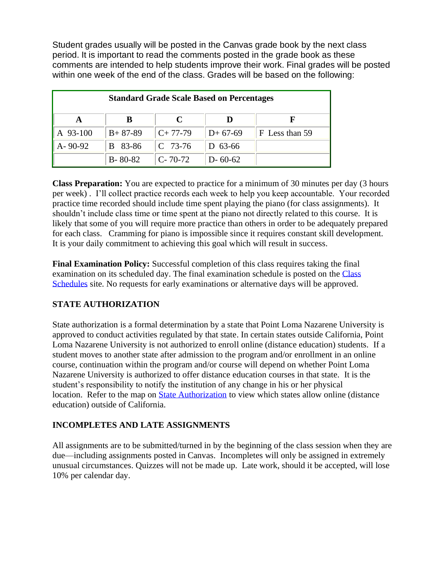Student grades usually will be posted in the Canvas grade book by the next class period. It is important to read the comments posted in the grade book as these comments are intended to help students improve their work. Final grades will be posted within one week of the end of the class. Grades will be based on the following:

| <b>Standard Grade Scale Based on Percentages</b> |               |               |               |                |  |  |
|--------------------------------------------------|---------------|---------------|---------------|----------------|--|--|
|                                                  | В             | C             |               |                |  |  |
| A 93-100                                         | $B+87-89$     | $C+77-79$     | $D+67-69$     | F Less than 59 |  |  |
| $A - 90 - 92$                                    | 83-86<br>B.   | $C$ 73-76     | $D$ 63-66     |                |  |  |
|                                                  | $B - 80 - 82$ | $C - 70 - 72$ | $D - 60 - 62$ |                |  |  |

**Class Preparation:** You are expected to practice for a minimum of 30 minutes per day (3 hours per week) . I'll collect practice records each week to help you keep accountable. Your recorded practice time recorded should include time spent playing the piano (for class assignments). It shouldn't include class time or time spent at the piano not directly related to this course. It is likely that some of you will require more practice than others in order to be adequately prepared for each class. Cramming for piano is impossible since it requires constant skill development. It is your daily commitment to achieving this goal which will result in success.

**Final Examination Policy:** Successful completion of this class requires taking the final examination on its scheduled day. The final examination schedule is posted on the [Class](http://www.pointloma.edu/experience/academics/class-schedules)  [Schedules](http://www.pointloma.edu/experience/academics/class-schedules) site. No requests for early examinations or alternative days will be approved.

# **STATE AUTHORIZATION**

State authorization is a formal determination by a state that Point Loma Nazarene University is approved to conduct activities regulated by that state. In certain states outside California, Point Loma Nazarene University is not authorized to enroll online (distance education) students. If a student moves to another state after admission to the program and/or enrollment in an online course, continuation within the program and/or course will depend on whether Point Loma Nazarene University is authorized to offer distance education courses in that state. It is the student's responsibility to notify the institution of any change in his or her physical location. Refer to the map on [State Authorization](https://www.pointloma.edu/offices/office-institutional-effectiveness-research/disclosures) to view which states allow online (distance education) outside of California.

# **INCOMPLETES AND LATE ASSIGNMENTS**

All assignments are to be submitted/turned in by the beginning of the class session when they are due—including assignments posted in Canvas. Incompletes will only be assigned in extremely unusual circumstances. Quizzes will not be made up. Late work, should it be accepted, will lose 10% per calendar day.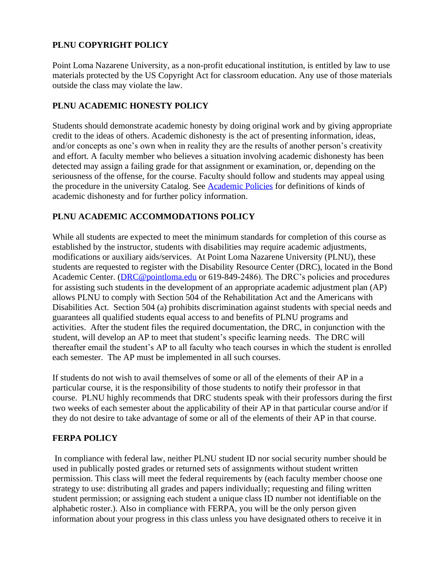# **PLNU COPYRIGHT POLICY**

Point Loma Nazarene University, as a non-profit educational institution, is entitled by law to use materials protected by the US Copyright Act for classroom education. Any use of those materials outside the class may violate the law.

# **PLNU ACADEMIC HONESTY POLICY**

Students should demonstrate academic honesty by doing original work and by giving appropriate credit to the ideas of others. Academic dishonesty is the act of presenting information, ideas, and/or concepts as one's own when in reality they are the results of another person's creativity and effort. A faculty member who believes a situation involving academic dishonesty has been detected may assign a failing grade for that assignment or examination, or, depending on the seriousness of the offense, for the course. Faculty should follow and students may appeal using the procedure in the university Catalog. See [Academic Policies](http://catalog.pointloma.edu/content.php?catoid=18&navoid=1278) for definitions of kinds of academic dishonesty and for further policy information.

# **PLNU ACADEMIC ACCOMMODATIONS POLICY**

While all students are expected to meet the minimum standards for completion of this course as established by the instructor, students with disabilities may require academic adjustments, modifications or auxiliary aids/services. At Point Loma Nazarene University (PLNU), these students are requested to register with the Disability Resource Center (DRC), located in the Bond Academic Center. [\(DRC@pointloma.edu](mailto:DRC@pointloma.edu) or 619-849-2486). The DRC's policies and procedures for assisting such students in the development of an appropriate academic adjustment plan (AP) allows PLNU to comply with Section 504 of the Rehabilitation Act and the Americans with Disabilities Act. Section 504 (a) prohibits discrimination against students with special needs and guarantees all qualified students equal access to and benefits of PLNU programs and activities. After the student files the required documentation, the DRC, in conjunction with the student, will develop an AP to meet that student's specific learning needs. The DRC will thereafter email the student's AP to all faculty who teach courses in which the student is enrolled each semester. The AP must be implemented in all such courses.

If students do not wish to avail themselves of some or all of the elements of their AP in a particular course, it is the responsibility of those students to notify their professor in that course. PLNU highly recommends that DRC students speak with their professors during the first two weeks of each semester about the applicability of their AP in that particular course and/or if they do not desire to take advantage of some or all of the elements of their AP in that course.

## **FERPA POLICY**

In compliance with federal law, neither PLNU student ID nor social security number should be used in publically posted grades or returned sets of assignments without student written permission. This class will meet the federal requirements by (each faculty member choose one strategy to use: distributing all grades and papers individually; requesting and filing written student permission; or assigning each student a unique class ID number not identifiable on the alphabetic roster.). Also in compliance with FERPA, you will be the only person given information about your progress in this class unless you have designated others to receive it in